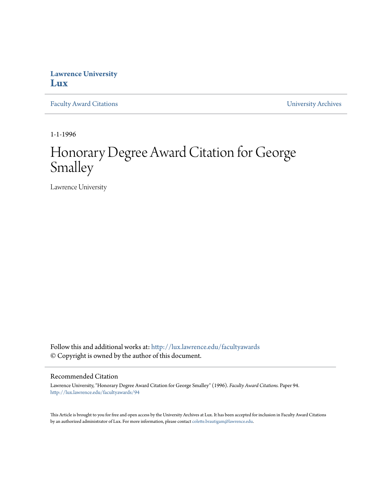## **Lawrence University [Lux](http://lux.lawrence.edu?utm_source=lux.lawrence.edu%2Ffacultyawards%2F94&utm_medium=PDF&utm_campaign=PDFCoverPages)**

[Faculty Award Citations](http://lux.lawrence.edu/facultyawards?utm_source=lux.lawrence.edu%2Ffacultyawards%2F94&utm_medium=PDF&utm_campaign=PDFCoverPages) **Example 2018** [University Archives](http://lux.lawrence.edu/archives?utm_source=lux.lawrence.edu%2Ffacultyawards%2F94&utm_medium=PDF&utm_campaign=PDFCoverPages)

1-1-1996

# Honorary Degree Award Citation for George Smalley

Lawrence University

Follow this and additional works at: [http://lux.lawrence.edu/facultyawards](http://lux.lawrence.edu/facultyawards?utm_source=lux.lawrence.edu%2Ffacultyawards%2F94&utm_medium=PDF&utm_campaign=PDFCoverPages) © Copyright is owned by the author of this document.

#### Recommended Citation

Lawrence University, "Honorary Degree Award Citation for George Smalley" (1996). *Faculty Award Citations.* Paper 94. [http://lux.lawrence.edu/facultyawards/94](http://lux.lawrence.edu/facultyawards/94?utm_source=lux.lawrence.edu%2Ffacultyawards%2F94&utm_medium=PDF&utm_campaign=PDFCoverPages)

This Article is brought to you for free and open access by the University Archives at Lux. It has been accepted for inclusion in Faculty Award Citations by an authorized administrator of Lux. For more information, please contact [colette.brautigam@lawrence.edu](mailto:colette.brautigam@lawrence.edu).